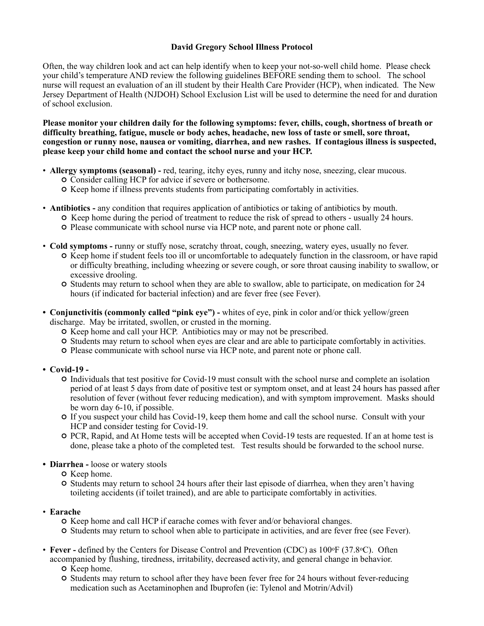# **David Gregory School Illness Protocol**

Often, the way children look and act can help identify when to keep your not-so-well child home. Please check your child's temperature AND review the following guidelines BEFORE sending them to school. The school nurse will request an evaluation of an ill student by their Health Care Provider (HCP), when indicated. The New Jersey Department of Health (NJDOH) School Exclusion List will be used to determine the need for and duration of school exclusion.

**Please monitor your children daily for the following symptoms: fever, chills, cough, shortness of breath or difficulty breathing, fatigue, muscle or body aches, headache, new loss of taste or smell, sore throat, congestion or runny nose, nausea or vomiting, diarrhea, and new rashes. If contagious illness is suspected, please keep your child home and contact the school nurse and your HCP.** 

- **Allergy symptoms (seasonal) -** red, tearing, itchy eyes, runny and itchy nose, sneezing, clear mucous.
	- Consider calling HCP for advice if severe or bothersome.
	- $\circ$  Keep home if illness prevents students from participating comfortably in activities.
- **Antibiotics -** any condition that requires application of antibiotics or taking of antibiotics by mouth.
	- $\circ$  Keep home during the period of treatment to reduce the risk of spread to others usually 24 hours.
		- Please communicate with school nurse via HCP note, and parent note or phone call.
- **Cold symptoms -** runny or stuffy nose, scratchy throat, cough, sneezing, watery eyes, usually no fever.
	- Keep home if student feels too ill or uncomfortable to adequately function in the classroom, or have rapid or difficulty breathing, including wheezing or severe cough, or sore throat causing inability to swallow, or excessive drooling.
	- Students may return to school when they are able to swallow, able to participate, on medication for 24 hours (if indicated for bacterial infection) and are fever free (see Fever).
- **Conjunctivitis (commonly called "pink eye")** whites of eye, pink in color and/or thick yellow/green discharge. May be irritated, swollen, or crusted in the morning.
	- $\circ$  Keep home and call your HCP. Antibiotics may or may not be prescribed.
	- Students may return to school when eyes are clear and are able to participate comfortably in activities.
	- Please communicate with school nurse via HCP note, and parent note or phone call.
- **• Covid-19** 
	- Individuals that test positive for Covid-19 must consult with the school nurse and complete an isolation period of at least 5 days from date of positive test or symptom onset, and at least 24 hours has passed after resolution of fever (without fever reducing medication), and with symptom improvement. Masks should be worn day 6-10, if possible.
	- If you suspect your child has Covid-19, keep them home and call the school nurse. Consult with your HCP and consider testing for Covid-19.
	- PCR, Rapid, and At Home tests will be accepted when Covid-19 tests are requested. If an at home test is done, please take a photo of the completed test. Test results should be forwarded to the school nurse.
- **• Diarrhea** loose or watery stools
	- $O$  Keep home.
	- Students may return to school 24 hours after their last episode of diarrhea, when they aren't having toileting accidents (if toilet trained), and are able to participate comfortably in activities.
- **Earache** 
	- $\circ$  Keep home and call HCP if earache comes with fever and/or behavioral changes.
	- Students may return to school when able to participate in activities, and are fever free (see Fever).
- **Fever** defined by the Centers for Disease Control and Prevention (CDC) as 100<sup>o</sup>F (37.8<sup>o</sup>C). Often accompanied by flushing, tiredness, irritability, decreased activity, and general change in behavior.
	- $\circ$  Keep home.
	- Students may return to school after they have been fever free for 24 hours without fever-reducing medication such as Acetaminophen and Ibuprofen (ie: Tylenol and Motrin/Advil)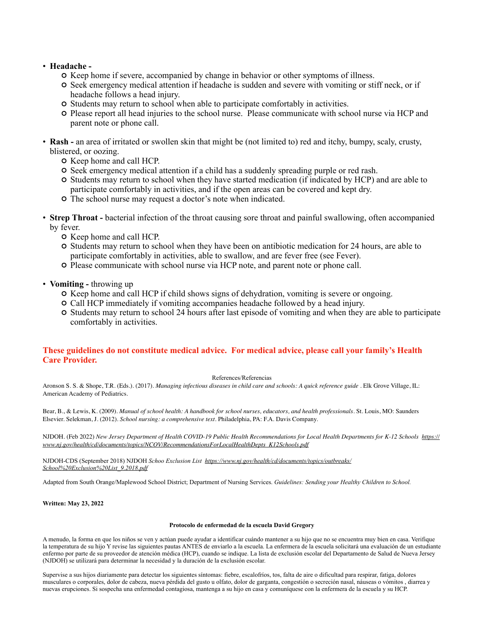# • **Headache -**

- $\circ$  Keep home if severe, accompanied by change in behavior or other symptoms of illness.
- Seek emergency medical attention if headache is sudden and severe with vomiting or stiff neck, or if headache follows a head injury.
- Students may return to school when able to participate comfortably in activities.
- Please report all head injuries to the school nurse. Please communicate with school nurse via HCP and parent note or phone call.
- **Rash -** an area of irritated or swollen skin that might be (not limited to) red and itchy, bumpy, scaly, crusty, blistered, or oozing.
	- $\circ$  Keep home and call HCP.
	- Seek emergency medical attention if a child has a suddenly spreading purple or red rash.
	- Students may return to school when they have started medication (if indicated by HCP) and are able to participate comfortably in activities, and if the open areas can be covered and kept dry.
	- The school nurse may request a doctor's note when indicated.
- **Strep Throat -** bacterial infection of the throat causing sore throat and painful swallowing, often accompanied by fever.
	- $\circ$  Keep home and call HCP.
	- Students may return to school when they have been on antibiotic medication for 24 hours, are able to participate comfortably in activities, able to swallow, and are fever free (see Fever).
	- Please communicate with school nurse via HCP note, and parent note or phone call.
- **Vomiting -** throwing up
	- $\circ$  Keep home and call HCP if child shows signs of dehydration, vomiting is severe or ongoing.
	- Call HCP immediately if vomiting accompanies headache followed by a head injury.
	- Students may return to school 24 hours after last episode of vomiting and when they are able to participate comfortably in activities.

# **These guidelines do not constitute medical advice. For medical advice, please call your family's Health Care Provider.**

# References/Referencias

Aronson S. S. & Shope, T.R. (Eds.). (2017). *Managing infectious diseases in child care and schools: A quick reference guide* . Elk Grove Village, IL: American Academy of Pediatrics.

Bear, B., & Lewis, K. (2009). *Manual of school health: A handbook for school nurses, educators, and health professionals.* St. Louis, MO: Saunders Elsevier. Selekman, J. (2012). *School nursing: a comprehensive text.* Philadelphia, PA: F.A. Davis Company.

NJDOH. (Feb 2022) *New Jersey Department of Health COVID-19 Public Health Recommendations for Local Health Departments for K-12 Schools [https://](https://www.nj.gov/health/cd/documents/topics/NCOV/RecommendationsForLocalHealthDepts_K12Schools.pdf) [www.nj.gov/health/cd/documents/topics/NCOV/RecommendationsForLocalHealthDepts\\_K12Schools.pdf](https://www.nj.gov/health/cd/documents/topics/NCOV/RecommendationsForLocalHealthDepts_K12Schools.pdf)*

NJDOH-CDS (September 2018) NJDOH *Schoo Exclusion List [https://www.nj.gov/health/cd/documents/topics/outbreaks/](https://www.nj.gov/health/cd/documents/topics/outbreaks/School%20Exclusion%20List_9.2018.pdf) [School%20Exclusion%20List\\_9.2018.pdf](https://www.nj.gov/health/cd/documents/topics/outbreaks/School%20Exclusion%20List_9.2018.pdf)*

Adapted from South Orange/Maplewood School District; Department of Nursing Services. *Guidelines: Sending your Healthy Children to School.* 

**Written: May 23, 2022**

### **Protocolo de enfermedad de la escuela David Gregory**

A menudo, la forma en que los niños se ven y actúan puede ayudar a identificar cuándo mantener a su hijo que no se encuentra muy bien en casa. Verifique la temperatura de su hijo Y revise las siguientes pautas ANTES de enviarlo a la escuela. La enfermera de la escuela solicitará una evaluación de un estudiante enfermo por parte de su proveedor de atención médica (HCP), cuando se indique. La lista de exclusión escolar del Departamento de Salud de Nueva Jersey (NJDOH) se utilizará para determinar la necesidad y la duración de la exclusión escolar.

Supervise a sus hijos diariamente para detectar los siguientes síntomas: fiebre, escalofríos, tos, falta de aire o dificultad para respirar, fatiga, dolores musculares o corporales, dolor de cabeza, nueva pérdida del gusto u olfato, dolor de garganta, congestión o secreción nasal, náuseas o vómitos , diarrea y nuevas erupciones. Si sospecha una enfermedad contagiosa, mantenga a su hijo en casa y comuníquese con la enfermera de la escuela y su HCP.